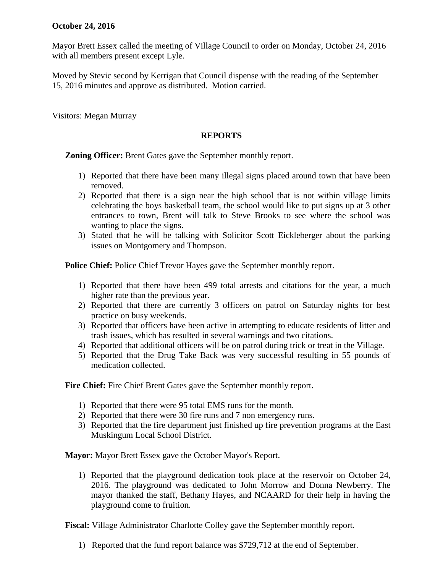## **October 24, 2016**

Mayor Brett Essex called the meeting of Village Council to order on Monday, October 24, 2016 with all members present except Lyle.

Moved by Stevic second by Kerrigan that Council dispense with the reading of the September 15, 2016 minutes and approve as distributed. Motion carried.

Visitors: Megan Murray

## **REPORTS**

**Zoning Officer:** Brent Gates gave the September monthly report.

- 1) Reported that there have been many illegal signs placed around town that have been removed.
- 2) Reported that there is a sign near the high school that is not within village limits celebrating the boys basketball team, the school would like to put signs up at 3 other entrances to town, Brent will talk to Steve Brooks to see where the school was wanting to place the signs.
- 3) Stated that he will be talking with Solicitor Scott Eickleberger about the parking issues on Montgomery and Thompson.

**Police Chief:** Police Chief Trevor Hayes gave the September monthly report.

- 1) Reported that there have been 499 total arrests and citations for the year, a much higher rate than the previous year.
- 2) Reported that there are currently 3 officers on patrol on Saturday nights for best practice on busy weekends.
- 3) Reported that officers have been active in attempting to educate residents of litter and trash issues, which has resulted in several warnings and two citations.
- 4) Reported that additional officers will be on patrol during trick or treat in the Village.
- 5) Reported that the Drug Take Back was very successful resulting in 55 pounds of medication collected.

**Fire Chief:** Fire Chief Brent Gates gave the September monthly report.

- 1) Reported that there were 95 total EMS runs for the month.
- 2) Reported that there were 30 fire runs and 7 non emergency runs.
- 3) Reported that the fire department just finished up fire prevention programs at the East Muskingum Local School District.

**Mayor:** Mayor Brett Essex gave the October Mayor's Report.

1) Reported that the playground dedication took place at the reservoir on October 24, 2016. The playground was dedicated to John Morrow and Donna Newberry. The mayor thanked the staff, Bethany Hayes, and NCAARD for their help in having the playground come to fruition.

**Fiscal:** Village Administrator Charlotte Colley gave the September monthly report.

1) Reported that the fund report balance was \$729,712 at the end of September.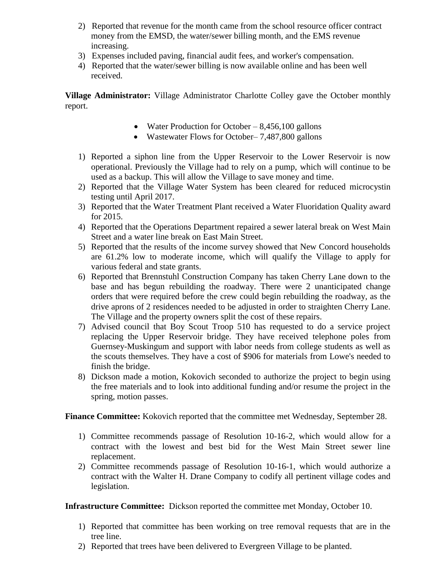- 2) Reported that revenue for the month came from the school resource officer contract money from the EMSD, the water/sewer billing month, and the EMS revenue increasing.
- 3) Expenses included paving, financial audit fees, and worker's compensation.
- 4) Reported that the water/sewer billing is now available online and has been well received.

**Village Administrator:** Village Administrator Charlotte Colley gave the October monthly report.

- Water Production for October  $-8,456,100$  gallons
- Wastewater Flows for October–7,487,800 gallons
- 1) Reported a siphon line from the Upper Reservoir to the Lower Reservoir is now operational. Previously the Village had to rely on a pump, which will continue to be used as a backup. This will allow the Village to save money and time.
- 2) Reported that the Village Water System has been cleared for reduced microcystin testing until April 2017.
- 3) Reported that the Water Treatment Plant received a Water Fluoridation Quality award for 2015.
- 4) Reported that the Operations Department repaired a sewer lateral break on West Main Street and a water line break on East Main Street.
- 5) Reported that the results of the income survey showed that New Concord households are 61.2% low to moderate income, which will qualify the Village to apply for various federal and state grants.
- 6) Reported that Brennstuhl Construction Company has taken Cherry Lane down to the base and has begun rebuilding the roadway. There were 2 unanticipated change orders that were required before the crew could begin rebuilding the roadway, as the drive aprons of 2 residences needed to be adjusted in order to straighten Cherry Lane. The Village and the property owners split the cost of these repairs.
- 7) Advised council that Boy Scout Troop 510 has requested to do a service project replacing the Upper Reservoir bridge. They have received telephone poles from Guernsey-Muskingum and support with labor needs from college students as well as the scouts themselves. They have a cost of \$906 for materials from Lowe's needed to finish the bridge.
- 8) Dickson made a motion, Kokovich seconded to authorize the project to begin using the free materials and to look into additional funding and/or resume the project in the spring, motion passes.

**Finance Committee:** Kokovich reported that the committee met Wednesday, September 28.

- 1) Committee recommends passage of Resolution 10-16-2, which would allow for a contract with the lowest and best bid for the West Main Street sewer line replacement.
- 2) Committee recommends passage of Resolution 10-16-1, which would authorize a contract with the Walter H. Drane Company to codify all pertinent village codes and legislation.

**Infrastructure Committee:** Dickson reported the committee met Monday, October 10.

- 1) Reported that committee has been working on tree removal requests that are in the tree line.
- 2) Reported that trees have been delivered to Evergreen Village to be planted.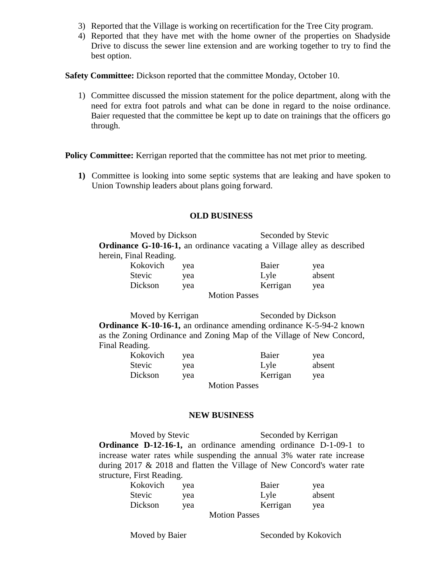- 3) Reported that the Village is working on recertification for the Tree City program.
- 4) Reported that they have met with the home owner of the properties on Shadyside Drive to discuss the sewer line extension and are working together to try to find the best option.

**Safety Committee:** Dickson reported that the committee Monday, October 10.

1) Committee discussed the mission statement for the police department, along with the need for extra foot patrols and what can be done in regard to the noise ordinance. Baier requested that the committee be kept up to date on trainings that the officers go through.

**Policy Committee:** Kerrigan reported that the committee has not met prior to meeting.

**1)** Committee is looking into some septic systems that are leaking and have spoken to Union Township leaders about plans going forward.

## **OLD BUSINESS**

Moved by Dickson Seconded by Stevic **Ordinance G-10-16-1,** an ordinance vacating a Village alley as described herein, Final Reading.

| Kokovich             | yea | Baier    | yea    |  |
|----------------------|-----|----------|--------|--|
| <b>Stevic</b>        | yea | Lyle     | absent |  |
| Dickson              | yea | Kerrigan | yea    |  |
| <b>Motion Passes</b> |     |          |        |  |

Moved by Kerrigan Seconded by Dickson **Ordinance K-10-16-1,** an ordinance amending ordinance K-5-94-2 known as the Zoning Ordinance and Zoning Map of the Village of New Concord, Final Reading.

| Kokovich             | vea | Baier    | yea    |  |
|----------------------|-----|----------|--------|--|
| Stevic               | vea | Lyle     | absent |  |
| Dickson              | vea | Kerrigan | yea    |  |
| <b>Motion Passes</b> |     |          |        |  |

## **NEW BUSINESS**

Moved by Stevic Seconded by Kerrigan **Ordinance D-12-16-1,** an ordinance amending ordinance D-1-09-1 to increase water rates while suspending the annual 3% water rate increase during 2017 & 2018 and flatten the Village of New Concord's water rate structure, First Reading.

| Kokovich | vea | Baier    | yea    |
|----------|-----|----------|--------|
| Stevic   | yea | Lyle     | absent |
| Dickson  | vea | Kerrigan | vea    |

Motion Passes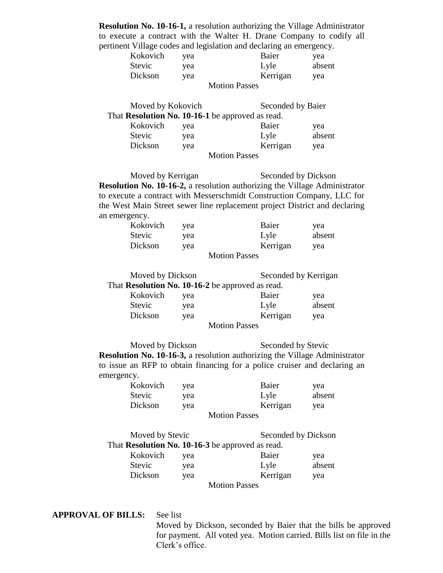**Resolution No. 10-16-1,** a resolution authorizing the Village Administrator to execute a contract with the Walter H. Drane Company to codify all pertinent Village codes and legislation and declaring an emergency.

| Kokovich | vea | Baier                | vea    |
|----------|-----|----------------------|--------|
| Stevic   | yea | Lyle                 | absent |
| Dickson  | vea | Kerrigan             | vea    |
|          |     | <b>Motion Passes</b> |        |

| Moved by Kokovich |     |                                                  | Seconded by Baier |  |
|-------------------|-----|--------------------------------------------------|-------------------|--|
|                   |     | That Resolution No. 10-16-1 be approved as read. |                   |  |
| Kokovich          | yea | Baier                                            | yea               |  |
| <b>Stevic</b>     | yea | Lyle                                             | absent            |  |
| Dickson           | yea | Kerrigan                                         | yea               |  |
|                   |     | <b>Motion Passes</b>                             |                   |  |

Moved by Kerrigan Seconded by Dickson **Resolution No. 10-16-2,** a resolution authorizing the Village Administrator to execute a contract with Messerschmidt Construction Company, LLC for the West Main Street sewer line replacement project District and declaring an emergency.

| Kokovich      | vea | Baier                | yea    |
|---------------|-----|----------------------|--------|
| <b>Stevic</b> | vea | Lyle                 | absent |
| Dickson       | vea | Kerrigan             | yea    |
|               |     | <b>Motion Passes</b> |        |

Moved by Dickson Seconded by Kerrigan That **Resolution No. 10-16-2** be approved as read.

| Kokovich | yea | Baier         | yea    |
|----------|-----|---------------|--------|
| Stevic   | yea | Lyle          | absent |
| Dickson  | vea | Kerrigan      | vea    |
|          |     | Motion Desses |        |

Motion Passes

Moved by Dickson Seconded by Stevic **Resolution No. 10-16-3,** a resolution authorizing the Village Administrator to issue an RFP to obtain financing for a police cruiser and declaring an emergency.

| Kokovich | vea | Baier                | yea    |
|----------|-----|----------------------|--------|
| Stevic   | yea | Lyle                 | absent |
| Dickson  | vea | Kerrigan             | yea    |
|          |     | <b>Motion Passes</b> |        |

| Moved by Stevic |     |                                                                                                                                                                                                                                                                                                                                                          | Seconded by Dickson |  |
|-----------------|-----|----------------------------------------------------------------------------------------------------------------------------------------------------------------------------------------------------------------------------------------------------------------------------------------------------------------------------------------------------------|---------------------|--|
|                 |     | That Resolution No. 10-16-3 be approved as read.                                                                                                                                                                                                                                                                                                         |                     |  |
| Kokovich        | yea | Baier                                                                                                                                                                                                                                                                                                                                                    | yea                 |  |
| <b>Stevic</b>   | yea | Lyle                                                                                                                                                                                                                                                                                                                                                     | absent              |  |
| Dickson         | yea | Kerrigan                                                                                                                                                                                                                                                                                                                                                 | yea                 |  |
|                 |     | $M_{\odot}$ $\ddot{\phantom{1}}$ and $\ddot{\phantom{1}}$ and $\ddot{\phantom{1}}$ and $\ddot{\phantom{1}}$ and $\ddot{\phantom{1}}$ and $\ddot{\phantom{1}}$ and $\ddot{\phantom{1}}$ and $\ddot{\phantom{1}}$ and $\ddot{\phantom{1}}$ and $\ddot{\phantom{1}}$ and $\ddot{\phantom{1}}$ and $\ddot{\phantom{1}}$ and $\ddot{\phantom{1}}$ and $\ddot$ |                     |  |

Motion Passes

**APPROVAL OF BILLS:** See list

Moved by Dickson, seconded by Baier that the bills be approved for payment. All voted yea. Motion carried. Bills list on file in the Clerk's office.